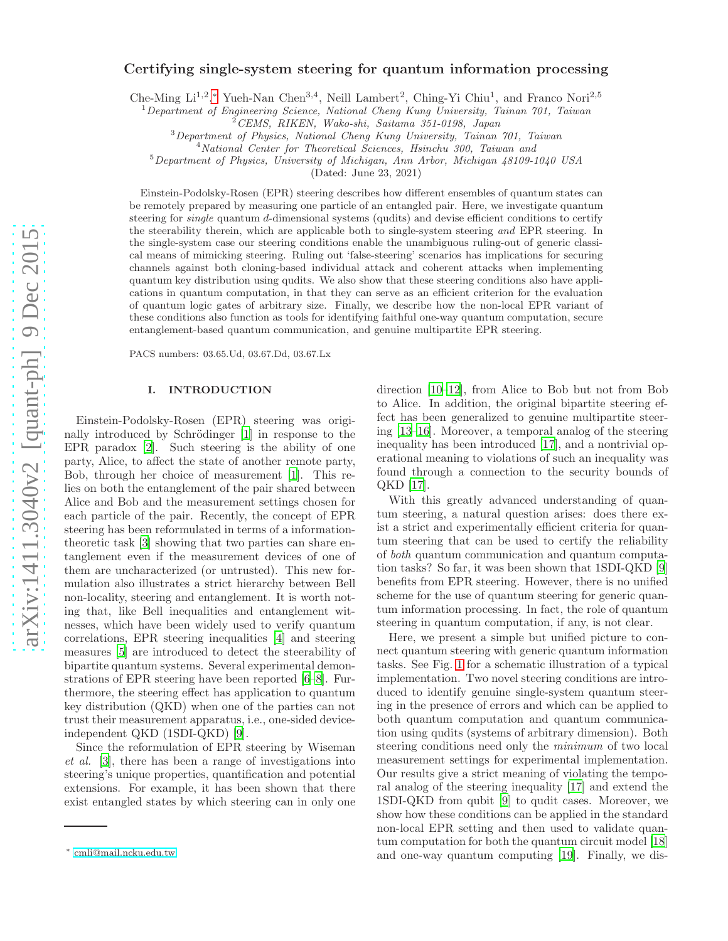# arXiv:1411.3040v2 [quant-ph] 9 Dec 2015 [arXiv:1411.3040v2 \[quant-ph\] 9 Dec 2015](http://arxiv.org/abs/1411.3040v2)

# Certifying single-system steering for quantum information processing

Che-Ming Li<sup>1,2</sup>,\* Yueh-Nan Chen<sup>3,4</sup>, Neill Lambert<sup>2</sup>, Ching-Yi Chiu<sup>1</sup>, and Franco Nori<sup>2,5</sup>

 $1$ Department of Engineering Science, National Cheng Kung University, Tainan 701, Taiwan

<sup>3</sup>Department of Physics, National Cheng Kung University, Tainan 701, Taiwan

<sup>4</sup>National Center for Theoretical Sciences, Hsinchu 300, Taiwan and

<sup>5</sup>Department of Physics, University of Michigan, Ann Arbor, Michigan 48109-1040 USA

(Dated: June 23, 2021)

Einstein-Podolsky-Rosen (EPR) steering describes how different ensembles of quantum states can be remotely prepared by measuring one particle of an entangled pair. Here, we investigate quantum steering for *single* quantum d-dimensional systems (qudits) and devise efficient conditions to certify the steerability therein, which are applicable both to single-system steering and EPR steering. In the single-system case our steering conditions enable the unambiguous ruling-out of generic classical means of mimicking steering. Ruling out 'false-steering' scenarios has implications for securing channels against both cloning-based individual attack and coherent attacks when implementing quantum key distribution using qudits. We also show that these steering conditions also have applications in quantum computation, in that they can serve as an efficient criterion for the evaluation of quantum logic gates of arbitrary size. Finally, we describe how the non-local EPR variant of these conditions also function as tools for identifying faithful one-way quantum computation, secure entanglement-based quantum communication, and genuine multipartite EPR steering.

PACS numbers: 03.65.Ud, 03.67.Dd, 03.67.Lx

# I. INTRODUCTION

Einstein-Podolsky-Rosen (EPR) steering was origi-nally introduced by Schrödinger [\[1\]](#page-11-0) in response to the EPR paradox [\[2\]](#page-11-1). Such steering is the ability of one party, Alice, to affect the state of another remote party, Bob, through her choice of measurement [\[1\]](#page-11-0). This relies on both the entanglement of the pair shared between Alice and Bob and the measurement settings chosen for each particle of the pair. Recently, the concept of EPR steering has been reformulated in terms of a informationtheoretic task [\[3\]](#page-11-2) showing that two parties can share entanglement even if the measurement devices of one of them are uncharacterized (or untrusted). This new formulation also illustrates a strict hierarchy between Bell non-locality, steering and entanglement. It is worth noting that, like Bell inequalities and entanglement witnesses, which have been widely used to verify quantum correlations, EPR steering inequalities [\[4](#page-11-3)] and steering measures [\[5\]](#page-11-4) are introduced to detect the steerability of bipartite quantum systems. Several experimental demonstrations of EPR steering have been reported [\[6](#page-11-5)[–8\]](#page-11-6). Furthermore, the steering effect has application to quantum key distribution (QKD) when one of the parties can not trust their measurement apparatus, i.e., one-sided deviceindependent QKD (1SDI-QKD) [\[9\]](#page-11-7).

Since the reformulation of EPR steering by Wiseman et al. [\[3](#page-11-2)], there has been a range of investigations into steering's unique properties, quantification and potential extensions. For example, it has been shown that there exist entangled states by which steering can in only one direction [\[10](#page-11-8)[–12](#page-11-9)], from Alice to Bob but not from Bob to Alice. In addition, the original bipartite steering effect has been generalized to genuine multipartite steering [\[13](#page-11-10)[–16](#page-12-0)]. Moreover, a temporal analog of the steering inequality has been introduced [\[17\]](#page-12-1), and a nontrivial operational meaning to violations of such an inequality was found through a connection to the security bounds of QKD [\[17](#page-12-1)].

With this greatly advanced understanding of quantum steering, a natural question arises: does there exist a strict and experimentally efficient criteria for quantum steering that can be used to certify the reliability of both quantum communication and quantum computation tasks? So far, it was been shown that 1SDI-QKD [\[9](#page-11-7)] benefits from EPR steering. However, there is no unified scheme for the use of quantum steering for generic quantum information processing. In fact, the role of quantum steering in quantum computation, if any, is not clear.

Here, we present a simple but unified picture to connect quantum steering with generic quantum information tasks. See Fig. [1](#page-1-0) for a schematic illustration of a typical implementation. Two novel steering conditions are introduced to identify genuine single-system quantum steering in the presence of errors and which can be applied to both quantum computation and quantum communication using qudits (systems of arbitrary dimension). Both steering conditions need only the minimum of two local measurement settings for experimental implementation. Our results give a strict meaning of violating the temporal analog of the steering inequality [\[17\]](#page-12-1) and extend the 1SDI-QKD from qubit [\[9](#page-11-7)] to qudit cases. Moreover, we show how these conditions can be applied in the standard non-local EPR setting and then used to validate quantum computation for both the quantum circuit model [\[18](#page-12-2)] and one-way quantum computing [\[19](#page-12-3)]. Finally, we dis-

 $^{2}$ CEMS, RIKEN, Wako-shi, Saitama 351-0198, Japan

<span id="page-0-0"></span><sup>∗</sup> [cmli@mail.ncku.edu.tw](mailto:cmli@mail.ncku.edu.tw)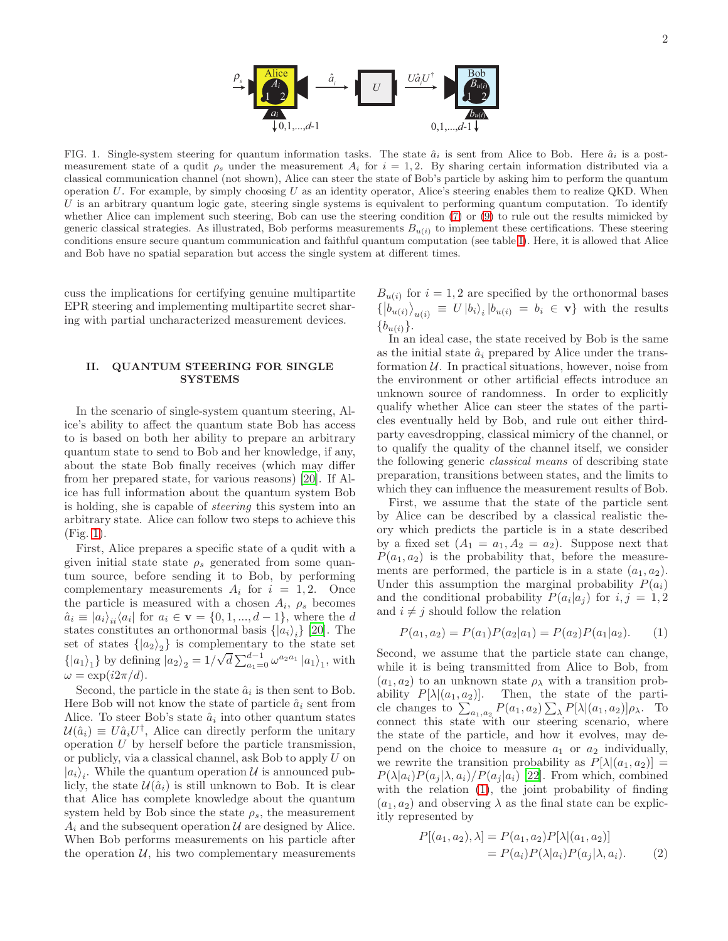

<span id="page-1-0"></span>FIG. 1. Single-system steering for quantum information tasks. The state  $\hat{a}_i$  is sent from Alice to Bob. Here  $\hat{a}_i$  is a postmeasurement state of a qudit  $\rho_s$  under the measurement  $A_i$  for  $i = 1, 2$ . By sharing certain information distributed via a classical communication channel (not shown), Alice can steer the state of Bob's particle by asking him to perform the quantum operation  $U$ . For example, by simply choosing  $U$  as an identity operator, Alice's steering enables them to realize QKD. When U is an arbitrary quantum logic gate, steering single systems is equivalent to performing quantum computation. To identify whether Alice can implement such steering, Bob can use the steering condition [\(7\)](#page-2-0) or [\(9\)](#page-2-1) to rule out the results mimicked by generic classical strategies. As illustrated, Bob performs measurements  $B_{u(i)}$  to implement these certifications. These steering conditions ensure secure quantum communication and faithful quantum computation (see table [I\)](#page-4-0). Here, it is allowed that Alice and Bob have no spatial separation but access the single system at different times.

cuss the implications for certifying genuine multipartite EPR steering and implementing multipartite secret sharing with partial uncharacterized measurement devices.

# II. QUANTUM STEERING FOR SINGLE **SYSTEMS**

In the scenario of single-system quantum steering, Alice's ability to affect the quantum state Bob has access to is based on both her ability to prepare an arbitrary quantum state to send to Bob and her knowledge, if any, about the state Bob finally receives (which may differ from her prepared state, for various reasons) [\[20](#page-12-4)]. If Alice has full information about the quantum system Bob is holding, she is capable of steering this system into an arbitrary state. Alice can follow two steps to achieve this (Fig. [1\)](#page-1-0).

First, Alice prepares a specific state of a qudit with a given initial state state  $\rho_s$  generated from some quantum source, before sending it to Bob, by performing complementary measurements  $A_i$  for  $i = 1, 2$ . Once the particle is measured with a chosen  $A_i$ ,  $\rho_s$  becomes  $\hat{a}_i \equiv |a_i\rangle_{ii} \langle a_i|$  for  $a_i \in \mathbf{v} = \{0, 1, ..., d-1\}$ , where the d states constitutes an orthonormal basis  $\{|a_i\rangle_i\}$  [\[20](#page-12-4)]. The set of states  $\{ |a_2\rangle_2 \}$  is complementary to the state set  $\{|a_1\rangle_1\}$  by defining  $|a_2\rangle_2 = 1/\sqrt{d} \sum_{a_1=0}^{d-1} \omega^{a_2 a_1} |a_1\rangle_1$ , with  $\omega = \exp(i2\pi/d).$ 

Second, the particle in the state  $\hat{a}_i$  is then sent to Bob. Here Bob will not know the state of particle  $\hat{a}_i$  sent from Alice. To steer Bob's state  $\hat{a}_i$  into other quantum states  $\mathcal{U}(\hat{a}_i) \equiv U \hat{a}_i U^{\dagger}$ , Alice can directly perform the unitary operation U by herself before the particle transmission, or publicly, via a classical channel, ask Bob to apply U on  $|a_i\rangle_i$ . While the quantum operation U is announced publicly, the state  $\mathcal{U}(\hat{a}_i)$  is still unknown to Bob. It is clear that Alice has complete knowledge about the quantum system held by Bob since the state  $\rho_s$ , the measurement  $A_i$  and the subsequent operation  $U$  are designed by Alice. When Bob performs measurements on his particle after the operation  $U$ , his two complementary measurements

 $B_{u(i)}$  for  $i = 1, 2$  are specified by the orthonormal bases  $\left\{ \left| b_{u(i)} \right\rangle_{u(i)} \equiv U \left| b_i \right\rangle_i \left| b_{u(i)} \right. = b_i \in \mathbf{v} \right\}$  with the results  ${b_{u(i)}}.$ 

In an ideal case, the state received by Bob is the same as the initial state  $\hat{a}_i$  prepared by Alice under the transformation  $U$ . In practical situations, however, noise from the environment or other artificial effects introduce an unknown source of randomness. In order to explicitly qualify whether Alice can steer the states of the particles eventually held by Bob, and rule out either thirdparty eavesdropping, classical mimicry of the channel, or to qualify the quality of the channel itself, we consider the following generic classical means of describing state preparation, transitions between states, and the limits to which they can influence the measurement results of Bob.

First, we assume that the state of the particle sent by Alice can be described by a classical realistic theory which predicts the particle is in a state described by a fixed set  $(A_1 = a_1, A_2 = a_2)$ . Suppose next that  $P(a_1, a_2)$  is the probability that, before the measurements are performed, the particle is in a state  $(a_1, a_2)$ . Under this assumption the marginal probability  $P(a_i)$ and the conditional probability  $P(a_i|a_j)$  for  $i, j = 1, 2$ and  $i \neq j$  should follow the relation

<span id="page-1-1"></span>
$$
P(a_1, a_2) = P(a_1)P(a_2|a_1) = P(a_2)P(a_1|a_2). \tag{1}
$$

Second, we assume that the particle state can change, while it is being transmitted from Alice to Bob, from  $(a_1, a_2)$  to an unknown state  $\rho_{\lambda}$  with a transition probability  $P[\lambda](a_1, a_2)$ . Then, the state of the particle changes to  $\sum_{a_1, a_2} P(a_1, a_2) \sum_{\lambda} P[\lambda](a_1, a_2)] \rho_{\lambda}$ . To connect this state with our steering scenario, where the state of the particle, and how it evolves, may depend on the choice to measure  $a_1$  or  $a_2$  individually, we rewrite the transition probability as  $P[\lambda](a_1, a_2)$  =  $P(\lambda|a_i)P(a_i|\lambda, a_i)/P(a_i|a_i)$  [\[22\]](#page-12-5). From which, combined with the relation  $(1)$ , the joint probability of finding  $(a_1, a_2)$  and observing  $\lambda$  as the final state can be explicitly represented by

<span id="page-1-2"></span>
$$
P[(a_1, a_2), \lambda] = P(a_1, a_2)P[\lambda|(a_1, a_2)]
$$
  
=  $P(a_i)P(\lambda|a_i)P(a_j|\lambda, a_i).$  (2)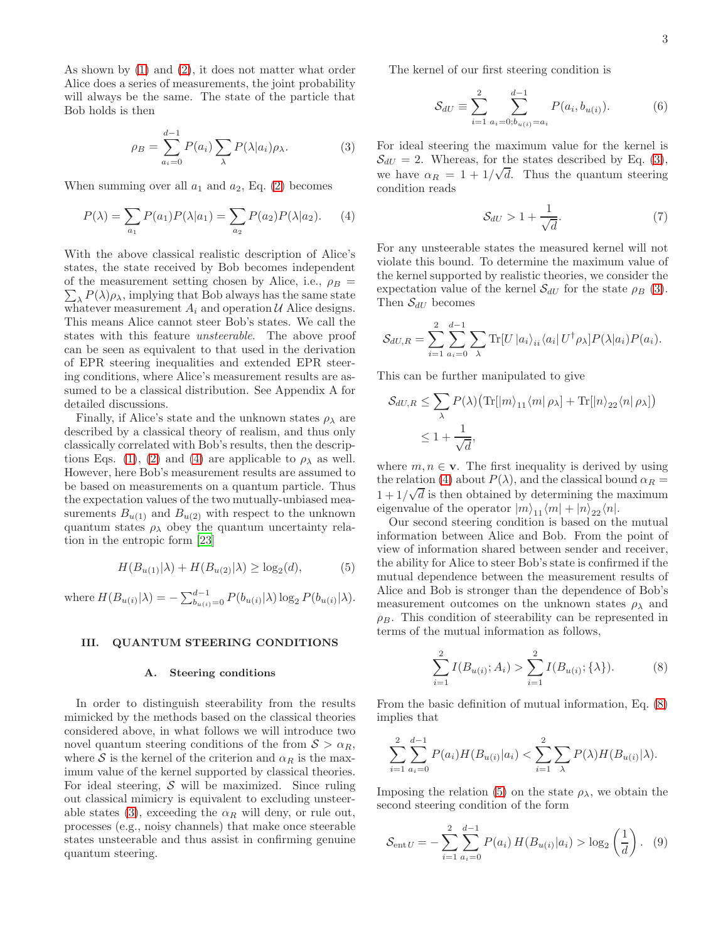As shown by [\(1\)](#page-1-1) and [\(2\)](#page-1-2), it does not matter what order Alice does a series of measurements, the joint probability will always be the same. The state of the particle that Bob holds is then

<span id="page-2-3"></span>
$$
\rho_B = \sum_{a_i=0}^{d-1} P(a_i) \sum_{\lambda} P(\lambda | a_i) \rho_{\lambda}.
$$
 (3)

When summing over all  $a_1$  and  $a_2$ , Eq. [\(2\)](#page-1-2) becomes

<span id="page-2-2"></span>
$$
P(\lambda) = \sum_{a_1} P(a_1) P(\lambda | a_1) = \sum_{a_2} P(a_2) P(\lambda | a_2).
$$
 (4)

With the above classical realistic description of Alice's states, the state received by Bob becomes independent of the measurement setting chosen by Alice, i.e.,  $\rho_B$  =  $\sum_{\lambda} P(\lambda) \rho_{\lambda}$ , implying that Bob always has the same state whatever measurement  $A_i$  and operation  $U$  Alice designs. This means Alice cannot steer Bob's states. We call the states with this feature unsteerable. The above proof can be seen as equivalent to that used in the derivation of EPR steering inequalities and extended EPR steering conditions, where Alice's measurement results are assumed to be a classical distribution. See Appendix A for detailed discussions.

Finally, if Alice's state and the unknown states  $\rho_{\lambda}$  are described by a classical theory of realism, and thus only classically correlated with Bob's results, then the descrip-tions Eqs. [\(1\)](#page-1-1), [\(2\)](#page-1-2) and [\(4\)](#page-2-2) are applicable to  $\rho_{\lambda}$  as well. However, here Bob's measurement results are assumed to be based on measurements on a quantum particle. Thus the expectation values of the two mutually-unbiased measurements  $B_{u(1)}$  and  $B_{u(2)}$  with respect to the unknown quantum states  $\rho_{\lambda}$  obey the quantum uncertainty relation in the entropic form [\[23](#page-12-6)]

<span id="page-2-5"></span>
$$
H(B_{u(1)}|\lambda) + H(B_{u(2)}|\lambda) \ge \log_2(d),\tag{5}
$$

where  $H(B_{u(i)}|\lambda) = -\sum_{b_{u(i)}}^{d-1} P(b_{u(i)}|\lambda) \log_2 P(b_{u(i)}|\lambda)$ .

### III. QUANTUM STEERING CONDITIONS

### A. Steering conditions

In order to distinguish steerability from the results mimicked by the methods based on the classical theories considered above, in what follows we will introduce two novel quantum steering conditions of the from  $S > \alpha_R$ , where S is the kernel of the criterion and  $\alpha_R$  is the maximum value of the kernel supported by classical theories. For ideal steering,  $S$  will be maximized. Since ruling out classical mimicry is equivalent to excluding unsteer-able states [\(3\)](#page-2-3), exceeding the  $\alpha_R$  will deny, or rule out, processes (e.g., noisy channels) that make once steerable states unsteerable and thus assist in confirming genuine quantum steering.

The kernel of our first steering condition is

<span id="page-2-6"></span>
$$
S_{dU} \equiv \sum_{i=1}^{2} \sum_{a_i=0; b_{u(i)}=a_i}^{d-1} P(a_i, b_{u(i)}).
$$
 (6)

For ideal steering the maximum value for the kernel is  $\mathcal{S}_{dU} = 2$ . Whereas, for the states described by Eq. [\(3\)](#page-2-3), we have  $\alpha_R = 1 + 1/\sqrt{d}$ . Thus the quantum steering condition reads

<span id="page-2-0"></span>
$$
S_{dU} > 1 + \frac{1}{\sqrt{d}}.\tag{7}
$$

For any unsteerable states the measured kernel will not violate this bound. To determine the maximum value of the kernel supported by realistic theories, we consider the expectation value of the kernel  $S_{dU}$  for the state  $\rho_B$  [\(3\)](#page-2-3). Then  $S_{dU}$  becomes

$$
S_{dU,R} = \sum_{i=1}^{2} \sum_{a_i=0}^{d-1} \sum_{\lambda} \text{Tr}[U |a_i\rangle_{ii} \langle a_i | U^{\dagger} \rho_{\lambda}] P(\lambda | a_i) P(a_i).
$$

This can be further manipulated to give

$$
S_{dU,R} \leq \sum_{\lambda} P(\lambda) \left( \text{Tr} [|m\rangle_{11} \langle m | \rho_{\lambda} ] + \text{Tr} [|n\rangle_{22} \langle n | \rho_{\lambda} ] \right)
$$
  

$$
\leq 1 + \frac{1}{\sqrt{d}},
$$

where  $m, n \in \mathbf{v}$ . The first inequality is derived by using the relation [\(4\)](#page-2-2) about  $P(\lambda)$ , and the classical bound  $\alpha_R =$  $1 + 1/\sqrt{d}$  is then obtained by determining the maximum eigenvalue of the operator  $|m\rangle_{11}\langle m| + |n\rangle_{22}\langle n|$ .

Our second steering condition is based on the mutual information between Alice and Bob. From the point of view of information shared between sender and receiver, the ability for Alice to steer Bob's state is confirmed if the mutual dependence between the measurement results of Alice and Bob is stronger than the dependence of Bob's measurement outcomes on the unknown states  $\rho_{\lambda}$  and  $\rho_B$ . This condition of steerability can be represented in terms of the mutual information as follows,

<span id="page-2-4"></span>
$$
\sum_{i=1}^{2} I(B_{u(i)}; A_i) > \sum_{i=1}^{2} I(B_{u(i)}; \{\lambda\}).
$$
 (8)

From the basic definition of mutual information, Eq. [\(8\)](#page-2-4) implies that

$$
\sum_{i=1}^{2} \sum_{a_i=0}^{d-1} P(a_i) H(B_{u(i)} | a_i) < \sum_{i=1}^{2} \sum_{\lambda} P(\lambda) H(B_{u(i)} | \lambda).
$$

Imposing the relation [\(5\)](#page-2-5) on the state  $\rho_{\lambda}$ , we obtain the second steering condition of the form

<span id="page-2-1"></span>
$$
S_{\text{ent }U} = -\sum_{i=1}^{2} \sum_{a_i=0}^{d-1} P(a_i) H(B_{u(i)}|a_i) > \log_2 \left(\frac{1}{d}\right). \tag{9}
$$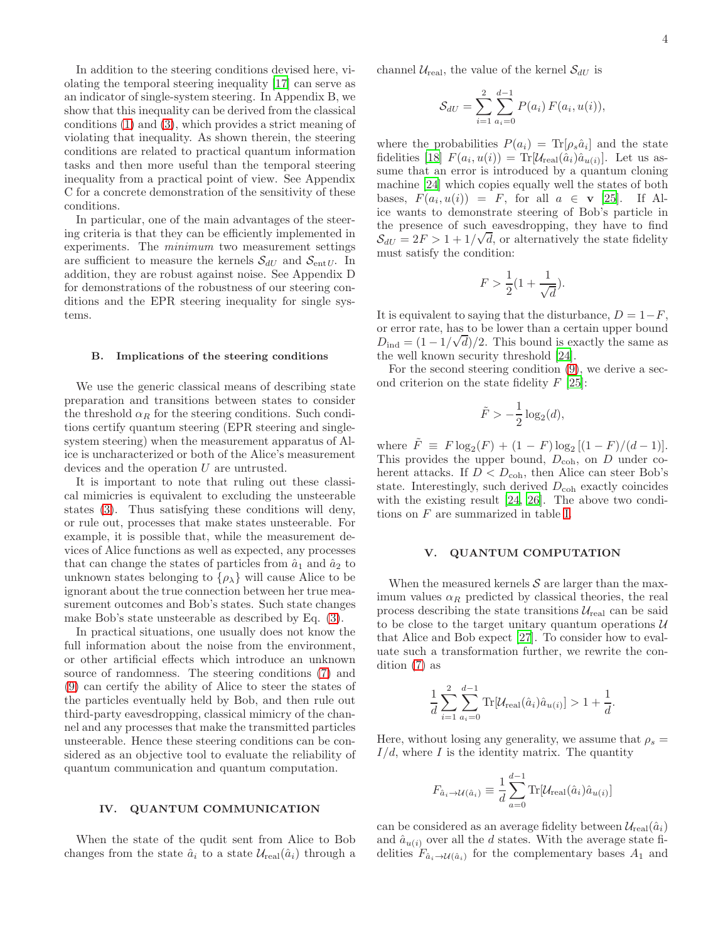In addition to the steering conditions devised here, violating the temporal steering inequality [\[17\]](#page-12-1) can serve as an indicator of single-system steering. In Appendix B, we show that this inequality can be derived from the classical conditions [\(1\)](#page-1-1) and [\(3\)](#page-2-3), which provides a strict meaning of violating that inequality. As shown therein, the steering conditions are related to practical quantum information tasks and then more useful than the temporal steering inequality from a practical point of view. See Appendix C for a concrete demonstration of the sensitivity of these conditions.

In particular, one of the main advantages of the steering criteria is that they can be efficiently implemented in experiments. The minimum two measurement settings are sufficient to measure the kernels  $S_{dU}$  and  $S_{ent U}$ . In addition, they are robust against noise. See Appendix D for demonstrations of the robustness of our steering conditions and the EPR steering inequality for single systems.

### B. Implications of the steering conditions

We use the generic classical means of describing state preparation and transitions between states to consider the threshold  $\alpha_R$  for the steering conditions. Such conditions certify quantum steering (EPR steering and singlesystem steering) when the measurement apparatus of Alice is uncharacterized or both of the Alice's measurement devices and the operation U are untrusted.

It is important to note that ruling out these classical mimicries is equivalent to excluding the unsteerable states [\(3\)](#page-2-3). Thus satisfying these conditions will deny, or rule out, processes that make states unsteerable. For example, it is possible that, while the measurement devices of Alice functions as well as expected, any processes that can change the states of particles from  $\hat{a}_1$  and  $\hat{a}_2$  to unknown states belonging to  $\{\rho_{\lambda}\}\$  will cause Alice to be ignorant about the true connection between her true measurement outcomes and Bob's states. Such state changes make Bob's state unsteerable as described by Eq. [\(3\)](#page-2-3).

In practical situations, one usually does not know the full information about the noise from the environment, or other artificial effects which introduce an unknown source of randomness. The steering conditions [\(7\)](#page-2-0) and [\(9\)](#page-2-1) can certify the ability of Alice to steer the states of the particles eventually held by Bob, and then rule out third-party eavesdropping, classical mimicry of the channel and any processes that make the transmitted particles unsteerable. Hence these steering conditions can be considered as an objective tool to evaluate the reliability of quantum communication and quantum computation.

### IV. QUANTUM COMMUNICATION

When the state of the qudit sent from Alice to Bob changes from the state  $\hat{a}_i$  to a state  $\mathcal{U}_{\text{real}}(\hat{a}_i)$  through a channel  $U_{\text{real}}$ , the value of the kernel  $S_{dU}$  is

$$
S_{dU} = \sum_{i=1}^{2} \sum_{a_i=0}^{d-1} P(a_i) F(a_i, u(i)),
$$

where the probabilities  $P(a_i) = \text{Tr}[\rho_s \hat{a}_i]$  and the state fidelities [\[18\]](#page-12-2)  $F(a_i, u(i)) = \text{Tr}[\mathcal{U}_{\text{real}}(\hat{a}_i)\hat{a}_{u(i)}].$  Let us assume that an error is introduced by a quantum cloning machine [\[24\]](#page-12-7) which copies equally well the states of both bases,  $F(a_i, u(i)) = F$ , for all  $a \in \mathbf{v}$  [\[25\]](#page-12-8). If Alice wants to demonstrate steering of Bob's particle in the presence of such eavesdropping, they have to find  $S_{dU} = 2F > 1 + 1/\sqrt{d}$ , or alternatively the state fidelity must satisfy the condition:

$$
F > \frac{1}{2}(1 + \frac{1}{\sqrt{d}}).
$$

It is equivalent to saying that the disturbance,  $D = 1-F$ , or error rate, has to be lower than a certain upper bound  $D_{\text{ind}} = (1 - 1/\sqrt{d})/2$ . This bound is exactly the same as the well known security threshold [\[24\]](#page-12-7).

For the second steering condition [\(9\)](#page-2-1), we derive a second criterion on the state fidelity  $F$  [\[25\]](#page-12-8):

$$
\tilde{F} > -\frac{1}{2}\log_2(d),
$$

where  $\tilde{F} \equiv F \log_2(F) + (1 - F) \log_2[(1 - F)/(d - 1)].$ This provides the upper bound,  $D_{\rm coh}$ , on D under coherent attacks. If  $D < D<sub>coh</sub>$ , then Alice can steer Bob's state. Interestingly, such derived  $D_{\rm coh}$  exactly coincides with the existing result [\[24](#page-12-7), [26\]](#page-12-9). The above two conditions on F are summarized in table [I.](#page-4-0)

### V. QUANTUM COMPUTATION

When the measured kernels  $S$  are larger than the maximum values  $\alpha_R$  predicted by classical theories, the real process describing the state transitions  $\mathcal{U}_{\text{real}}$  can be said to be close to the target unitary quantum operations  $\mathcal U$ that Alice and Bob expect [\[27\]](#page-12-10). To consider how to evaluate such a transformation further, we rewrite the condition [\(7\)](#page-2-0) as

$$
\frac{1}{d} \sum_{i=1}^{2} \sum_{a_i=0}^{d-1} \text{Tr}[\mathcal{U}_{\text{real}}(\hat{a}_i) \hat{a}_{u(i)}] > 1 + \frac{1}{d}.
$$

Here, without losing any generality, we assume that  $\rho_s =$  $I/d$ , where I is the identity matrix. The quantity

$$
F_{\hat{a}_i \to \mathcal{U}(\hat{a}_i)} \equiv \frac{1}{d} \sum_{a=0}^{d-1} \text{Tr}[\mathcal{U}_{\text{real}}(\hat{a}_i) \hat{a}_{u(i)}]
$$

can be considered as an average fidelity between  $\mathcal{U}_{\text{real}}(\hat{a}_i)$ and  $\hat{a}_{u(i)}$  over all the d states. With the average state fidelities  $F_{\hat{a}_i \to \mathcal{U}(\hat{a}_i)}$  for the complementary bases  $A_1$  and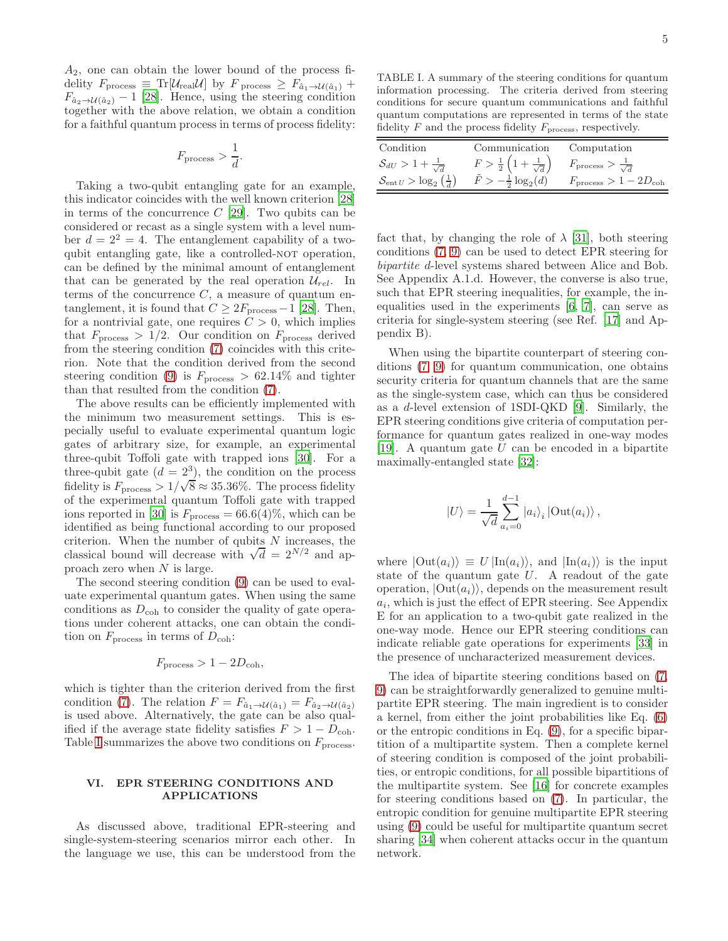$A_2$ , one can obtain the lower bound of the process fidelity  $F_{\text{process}} \equiv \text{Tr}[\mathcal{U}_{\text{real}} \mathcal{U}]$  by  $F_{\text{process}} \geq F_{\hat{a}_1 \to \mathcal{U}(\hat{a}_1)} +$  $F_{\hat{a}_2 \to \mathcal{U}(\hat{a}_2)} - 1$  [\[28\]](#page-12-11). Hence, using the steering condition together with the above relation, we obtain a condition for a faithful quantum process in terms of process fidelity:

$$
F_{\text{process}} > \frac{1}{d}.
$$

Taking a two-qubit entangling gate for an example, this indicator coincides with the well known criterion [\[28](#page-12-11)] in terms of the concurrence  $C$  [\[29](#page-12-12)]. Two qubits can be considered or recast as a single system with a level number  $d = 2^2 = 4$ . The entanglement capability of a twoqubit entangling gate, like a controlled-NOT operation, can be defined by the minimal amount of entanglement that can be generated by the real operation  $\mathcal{U}_{rel}$ . In terms of the concurrence  $C$ , a measure of quantum entanglement, it is found that  $C \geq 2F<sub>process</sub> - 1$  [\[28\]](#page-12-11). Then, for a nontrivial gate, one requires  $C > 0$ , which implies that  $F<sub>process</sub> > 1/2$ . Our condition on  $F<sub>process</sub>$  derived from the steering condition [\(7\)](#page-2-0) coincides with this criterion. Note that the condition derived from the second steering condition [\(9\)](#page-2-1) is  $F<sub>process</sub> > 62.14\%$  and tighter than that resulted from the condition [\(7\)](#page-2-0).

The above results can be efficiently implemented with the minimum two measurement settings. This is especially useful to evaluate experimental quantum logic gates of arbitrary size, for example, an experimental three-qubit Toffoli gate with trapped ions [\[30\]](#page-12-13). For a three-qubit gate  $(d = 2^3)$ , the condition on the process fidelity is  $F_{\text{process}} > 1/\sqrt{8} \approx 35.36\%$ . The process fidelity of the experimental quantum Toffoli gate with trapped ions reported in [\[30\]](#page-12-13) is  $F<sub>process</sub> = 66.6(4)%$ , which can be identified as being functional according to our proposed criterion. When the number of qubits  $N$  increases, the classical bound will decrease with  $\sqrt{d} = 2^{N/2}$  and approach zero when N is large.

The second steering condition [\(9\)](#page-2-1) can be used to evaluate experimental quantum gates. When using the same conditions as  $D_{\rm coh}$  to consider the quality of gate operations under coherent attacks, one can obtain the condition on  $F<sub>process</sub>$  in terms of  $D<sub>coh</sub>$ :

$$
F_{\rm process} > 1 - 2D_{\rm coh},
$$

which is tighter than the criterion derived from the first condition [\(7\)](#page-2-0). The relation  $F = F_{\hat{a}_1 \to \mathcal{U}(\hat{a}_1)} = F_{\hat{a}_2 \to \mathcal{U}(\hat{a}_2)}$ is used above. Alternatively, the gate can be also qualified if the average state fidelity satisfies  $F > 1 - D_{coh}$ . Table [I](#page-4-0) summarizes the above two conditions on  $F<sub>process</sub>$ .

# VI. EPR STEERING CONDITIONS AND APPLICATIONS

As discussed above, traditional EPR-steering and single-system-steering scenarios mirror each other. In the language we use, this can be understood from the

<span id="page-4-0"></span>TABLE I. A summary of the steering conditions for quantum information processing. The criteria derived from steering conditions for secure quantum communications and faithful quantum computations are represented in terms of the state fidelity  $F$  and the process fidelity  $F_{\text{process}}$ , respectively.

| Condition                                           | Communication                                           | Computation                               |
|-----------------------------------------------------|---------------------------------------------------------|-------------------------------------------|
| $S_{dU} > 1 + \frac{1}{\sqrt{d}}$                   | $F > \frac{1}{2} \left( 1 + \frac{1}{\sqrt{d}} \right)$ | $F_{\text{process}} > \frac{1}{\sqrt{d}}$ |
| $S_{\text{ent }U} > \log_2\left(\frac{1}{d}\right)$ | $F > -\frac{1}{2}\log_2(d)$                             | $Fprocess > 1 - 2Dcoh$                    |

fact that, by changing the role of  $\lambda$  [\[31\]](#page-12-14), both steering conditions [\(7,](#page-2-0) [9\)](#page-2-1) can be used to detect EPR steering for bipartite d-level systems shared between Alice and Bob. See Appendix A.1.d. However, the converse is also true, such that EPR steering inequalities, for example, the inequalities used in the experiments [\[6,](#page-11-5) [7](#page-11-11)], can serve as criteria for single-system steering (see Ref. [\[17](#page-12-1)] and Appendix B).

When using the bipartite counterpart of steering conditions [\(7,](#page-2-0) [9\)](#page-2-1) for quantum communication, one obtains security criteria for quantum channels that are the same as the single-system case, which can thus be considered as a d-level extension of 1SDI-QKD [\[9\]](#page-11-7). Similarly, the EPR steering conditions give criteria of computation performance for quantum gates realized in one-way modes [\[19\]](#page-12-3). A quantum gate  $U$  can be encoded in a bipartite maximally-entangled state [\[32\]](#page-12-15):

$$
|U\rangle = \frac{1}{\sqrt{d}} \sum_{a_i=0}^{d-1} |a_i\rangle_i |\text{Out}(a_i)\rangle ,
$$

where  $|\text{Out}(a_i)\rangle \equiv U | \text{In}(a_i) \rangle$ , and  $|\text{In}(a_i)\rangle$  is the input state of the quantum gate  $U$ . A readout of the gate operation,  $|\text{Out}(a_i)\rangle$ , depends on the measurement result  $a_i$ , which is just the effect of EPR steering. See Appendix E for an application to a two-qubit gate realized in the one-way mode. Hence our EPR steering conditions can indicate reliable gate operations for experiments [\[33](#page-12-16)] in the presence of uncharacterized measurement devices.

The idea of bipartite steering conditions based on [\(7,](#page-2-0) [9\)](#page-2-1) can be straightforwardly generalized to genuine multipartite EPR steering. The main ingredient is to consider a kernel, from either the joint probabilities like Eq. [\(6\)](#page-2-6) or the entropic conditions in Eq. [\(9\)](#page-2-1), for a specific bipartition of a multipartite system. Then a complete kernel of steering condition is composed of the joint probabilities, or entropic conditions, for all possible bipartitions of the multipartite system. See [\[16](#page-12-0)] for concrete examples for steering conditions based on [\(7\)](#page-2-0). In particular, the entropic condition for genuine multipartite EPR steering using [\(9\)](#page-2-1) could be useful for multipartite quantum secret sharing [\[34](#page-12-17)] when coherent attacks occur in the quantum network.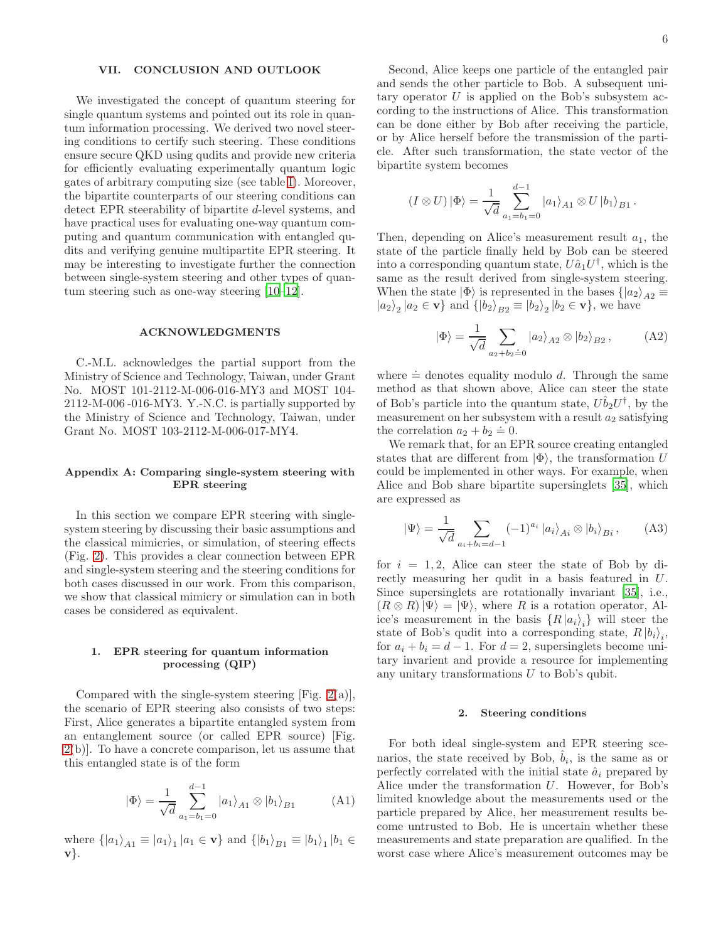# VII. CONCLUSION AND OUTLOOK

We investigated the concept of quantum steering for single quantum systems and pointed out its role in quantum information processing. We derived two novel steering conditions to certify such steering. These conditions ensure secure QKD using qudits and provide new criteria for efficiently evaluating experimentally quantum logic gates of arbitrary computing size (see table [I\)](#page-4-0). Moreover, the bipartite counterparts of our steering conditions can detect EPR steerability of bipartite d-level systems, and have practical uses for evaluating one-way quantum computing and quantum communication with entangled qudits and verifying genuine multipartite EPR steering. It may be interesting to investigate further the connection between single-system steering and other types of quantum steering such as one-way steering [\[10](#page-11-8)[–12](#page-11-9)].

### ACKNOWLEDGMENTS

C.-M.L. acknowledges the partial support from the Ministry of Science and Technology, Taiwan, under Grant No. MOST 101-2112-M-006-016-MY3 and MOST 104- 2112-M-006 -016-MY3. Y.-N.C. is partially supported by the Ministry of Science and Technology, Taiwan, under Grant No. MOST 103-2112-M-006-017-MY4.

# Appendix A: Comparing single-system steering with EPR steering

In this section we compare EPR steering with singlesystem steering by discussing their basic assumptions and the classical mimicries, or simulation, of steering effects (Fig. [2\)](#page-6-0). This provides a clear connection between EPR and single-system steering and the steering conditions for both cases discussed in our work. From this comparison, we show that classical mimicry or simulation can in both cases be considered as equivalent.

# 1. EPR steering for quantum information processing (QIP)

Compared with the single-system steering [Fig.  $2(a)$ ], the scenario of EPR steering also consists of two steps: First, Alice generates a bipartite entangled system from an entanglement source (or called EPR source) [Fig. [2\(](#page-6-0)b)]. To have a concrete comparison, let us assume that this entangled state is of the form

$$
|\Phi\rangle = \frac{1}{\sqrt{d}} \sum_{a_1 = b_1 = 0}^{d-1} |a_1\rangle_{A1} \otimes |b_1\rangle_{B1}
$$
 (A1)

where  $\{|a_1\rangle_{A1} \equiv |a_1\rangle_1 |a_1 \in \mathbf{v}\}\$ and  $\{|b_1\rangle_{B1} \equiv |b_1\rangle_1 |b_1 \in \mathbf{v}\}\$ v}.

Second, Alice keeps one particle of the entangled pair and sends the other particle to Bob. A subsequent uni-

tary operator  $U$  is applied on the Bob's subsystem according to the instructions of Alice. This transformation can be done either by Bob after receiving the particle, or by Alice herself before the transmission of the particle. After such transformation, the state vector of the bipartite system becomes

$$
(I \otimes U) \, |\Phi\rangle = \frac{1}{\sqrt{d}} \sum_{a_1 = b_1 = 0}^{d-1} |a_1\rangle_{A1} \otimes U \, |b_1\rangle_{B1} \, .
$$

Then, depending on Alice's measurement result  $a_1$ , the state of the particle finally held by Bob can be steered into a corresponding quantum state,  $U\hat{a}_1 U^{\dagger}$ , which is the same as the result derived from single-system steering. When the state  $|\Phi\rangle$  is represented in the bases  $\{ |a_2\rangle_{A2} \equiv$  $|a_2\rangle_2 |a_2 \in \mathbf{v} \}$  and  $\{ |b_2\rangle_{B2} \equiv |b_2\rangle_2 | b_2 \in \mathbf{v} \}$ , we have

$$
|\Phi\rangle = \frac{1}{\sqrt{d}} \sum_{a_2 + b_2 = 0} |a_2\rangle_{A2} \otimes |b_2\rangle_{B2}, \quad (A2)
$$

where  $\dot{=}$  denotes equality modulo d. Through the same method as that shown above, Alice can steer the state of Bob's particle into the quantum state,  $U\hat{b}_2U^{\dagger}$ , by the measurement on her subsystem with a result  $a_2$  satisfying the correlation  $a_2 + b_2 \doteq 0$ .

We remark that, for an EPR source creating entangled states that are different from  $|\Phi\rangle$ , the transformation U could be implemented in other ways. For example, when Alice and Bob share bipartite supersinglets [\[35\]](#page-12-18), which are expressed as

$$
|\Psi\rangle = \frac{1}{\sqrt{d}} \sum_{a_i + b_i = d-1} (-1)^{a_i} |a_i\rangle_{Ai} \otimes |b_i\rangle_{Bi}, \quad (A3)
$$

for  $i = 1, 2$ , Alice can steer the state of Bob by directly measuring her qudit in a basis featured in U. Since supersinglets are rotationally invariant [\[35\]](#page-12-18), i.e.,  $(R \otimes R)|\Psi\rangle = |\Psi\rangle$ , where R is a rotation operator, Alice's measurement in the basis  $\{R | a_i \rangle_i\}$  will steer the state of Bob's qudit into a corresponding state,  $R |b_i\rangle_i$ , for  $a_i + b_i = d - 1$ . For  $d = 2$ , supersinglets become unitary invarient and provide a resource for implementing any unitary transformations  $U$  to Bob's qubit.

# 2. Steering conditions

For both ideal single-system and EPR steering scenarios, the state received by Bob,  $\hat{b}_i$ , is the same as or perfectly correlated with the initial state  $\hat{a}_i$  prepared by Alice under the transformation U. However, for Bob's limited knowledge about the measurements used or the particle prepared by Alice, her measurement results become untrusted to Bob. He is uncertain whether these measurements and state preparation are qualified. In the worst case where Alice's measurement outcomes may be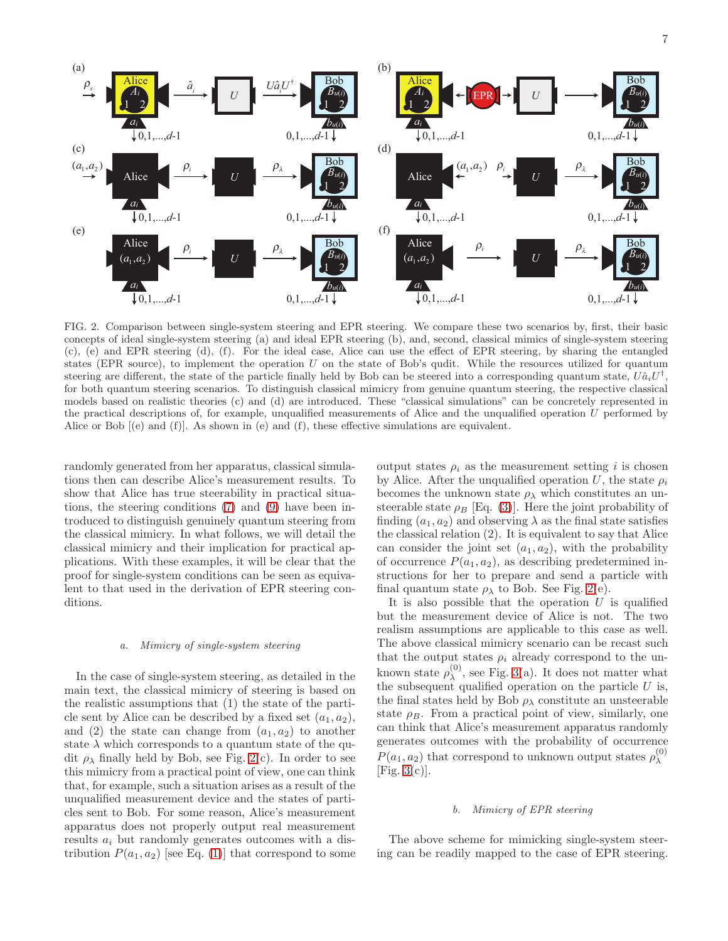

<span id="page-6-0"></span>FIG. 2. Comparison between single-system steering and EPR steering. We compare these two scenarios by, first, their basic concepts of ideal single-system steering (a) and ideal EPR steering (b), and, second, classical mimics of single-system steering (c), (e) and EPR steering (d), (f). For the ideal case, Alice can use the effect of EPR steering, by sharing the entangled states (EPR source), to implement the operation U on the state of Bob's qudit. While the resources utilized for quantum steering are different, the state of the particle finally held by Bob can be steered into a corresponding quantum state,  $U\hat{a}_iU^{\dagger}$ , for both quantum steering scenarios. To distinguish classical mimicry from genuine quantum steering, the respective classical models based on realistic theories (c) and (d) are introduced. These "classical simulations" can be concretely represented in the practical descriptions of, for example, unqualified measurements of Alice and the unqualified operation U performed by Alice or Bob [(e) and (f)]. As shown in (e) and (f), these effective simulations are equivalent.

randomly generated from her apparatus, classical simulations then can describe Alice's measurement results. To show that Alice has true steerability in practical situations, the steering conditions [\(7\)](#page-2-0) and [\(9\)](#page-2-1) have been introduced to distinguish genuinely quantum steering from the classical mimicry. In what follows, we will detail the classical mimicry and their implication for practical applications. With these examples, it will be clear that the proof for single-system conditions can be seen as equivalent to that used in the derivation of EPR steering conditions.

### a. Mimicry of single-system steering

In the case of single-system steering, as detailed in the main text, the classical mimicry of steering is based on the realistic assumptions that (1) the state of the particle sent by Alice can be described by a fixed set  $(a_1, a_2)$ , and (2) the state can change from  $(a_1, a_2)$  to another state  $\lambda$  which corresponds to a quantum state of the qudit  $\rho_{\lambda}$  finally held by Bob, see Fig. [2\(](#page-6-0)c). In order to see this mimicry from a practical point of view, one can think that, for example, such a situation arises as a result of the unqualified measurement device and the states of particles sent to Bob. For some reason, Alice's measurement apparatus does not properly output real measurement results  $a_i$  but randomly generates outcomes with a distribution  $P(a_1, a_2)$  [see Eq. [\(1\)](#page-1-1)] that correspond to some

output states  $\rho_i$  as the measurement setting i is chosen by Alice. After the unqualified operation U, the state  $\rho_i$ becomes the unknown state  $\rho_{\lambda}$  which constitutes an unsteerable state  $\rho_B$  [Eq. [\(3\)](#page-2-3)]. Here the joint probability of finding  $(a_1, a_2)$  and observing  $\lambda$  as the final state satisfies the classical relation (2). It is equivalent to say that Alice can consider the joint set  $(a_1, a_2)$ , with the probability of occurrence  $P(a_1, a_2)$ , as describing predetermined instructions for her to prepare and send a particle with final quantum state  $\rho_{\lambda}$  to Bob. See Fig. [2\(](#page-6-0)e).

It is also possible that the operation  $U$  is qualified but the measurement device of Alice is not. The two realism assumptions are applicable to this case as well. The above classical mimicry scenario can be recast such that the output states  $\rho_i$  already correspond to the unknown state  $\rho_{\lambda}^{(0)}$  $_{\lambda}^{(0)}$ , see Fig. [3\(](#page-7-0)a). It does not matter what the subsequent qualified operation on the particle  $U$  is, the final states held by Bob  $\rho_{\lambda}$  constitute an unsteerable state  $\rho_B$ . From a practical point of view, similarly, one can think that Alice's measurement apparatus randomly generates outcomes with the probability of occurrence  $P(a_1, a_2)$  that correspond to unknown output states  $\rho_\lambda^{(0)}$ λ [Fig.  $3(c)$ ].

## b. Mimicry of EPR steering

The above scheme for mimicking single-system steering can be readily mapped to the case of EPR steering.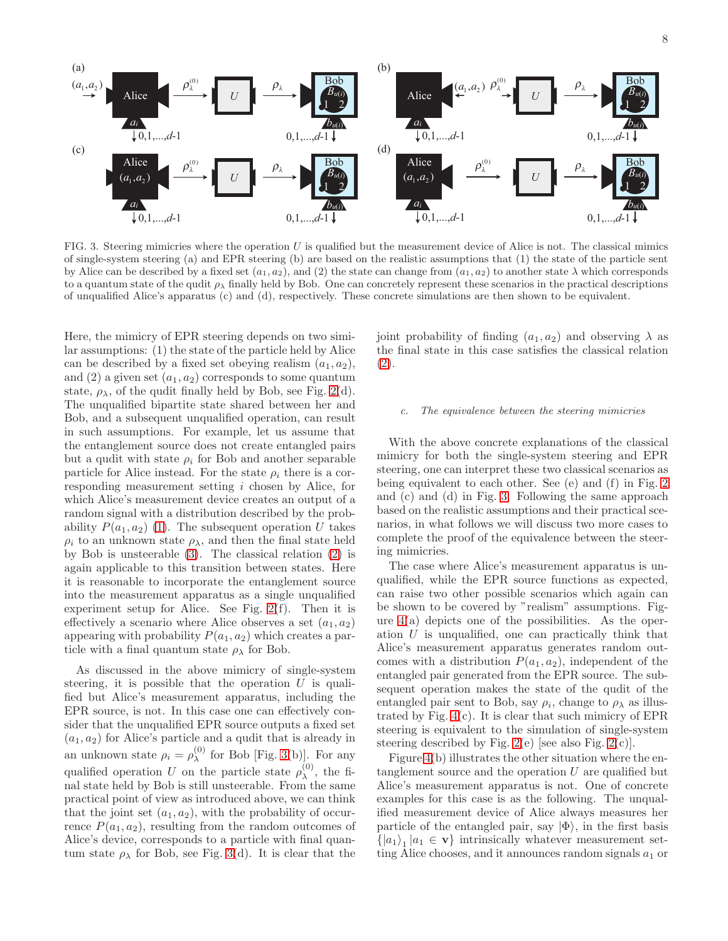

<span id="page-7-0"></span>FIG. 3. Steering mimicries where the operation U is qualified but the measurement device of Alice is not. The classical mimics of single-system steering (a) and EPR steering (b) are based on the realistic assumptions that (1) the state of the particle sent by Alice can be described by a fixed set  $(a_1, a_2)$ , and (2) the state can change from  $(a_1, a_2)$  to another state  $\lambda$  which corresponds to a quantum state of the qudit  $\rho_{\lambda}$  finally held by Bob. One can concretely represent these scenarios in the practical descriptions of unqualified Alice's apparatus (c) and (d), respectively. These concrete simulations are then shown to be equivalent.

Here, the mimicry of EPR steering depends on two similar assumptions: (1) the state of the particle held by Alice can be described by a fixed set obeying realism  $(a_1, a_2)$ , and (2) a given set  $(a_1, a_2)$  corresponds to some quantum state,  $\rho_{\lambda}$ , of the qudit finally held by Bob, see Fig. [2\(](#page-6-0)d). The unqualified bipartite state shared between her and Bob, and a subsequent unqualified operation, can result in such assumptions. For example, let us assume that the entanglement source does not create entangled pairs but a qudit with state  $\rho_i$  for Bob and another separable particle for Alice instead. For the state  $\rho_i$  there is a corresponding measurement setting i chosen by Alice, for which Alice's measurement device creates an output of a random signal with a distribution described by the probability  $P(a_1, a_2)$  [\(1\)](#page-1-1). The subsequent operation U takes  $\rho_i$  to an unknown state  $\rho_{\lambda}$ , and then the final state held by Bob is unsteerable [\(3\)](#page-2-3). The classical relation [\(2\)](#page-1-2) is again applicable to this transition between states. Here it is reasonable to incorporate the entanglement source into the measurement apparatus as a single unqualified experiment setup for Alice. See Fig. [2\(](#page-6-0)f). Then it is effectively a scenario where Alice observes a set  $(a_1, a_2)$ appearing with probability  $P(a_1, a_2)$  which creates a particle with a final quantum state  $\rho_{\lambda}$  for Bob.

As discussed in the above mimicry of single-system steering, it is possible that the operation  $U$  is qualified but Alice's measurement apparatus, including the EPR source, is not. In this case one can effectively consider that the unqualified EPR source outputs a fixed set  $(a_1, a_2)$  for Alice's particle and a qudit that is already in an unknown state  $\rho_i = \rho_\lambda^{(0)}$  $\lambda^{(0)}$  for Bob [Fig. [3\(](#page-7-0)b)]. For any qualified operation U on the particle state  $\rho_{\lambda}^{(0)}$  $\lambda^{(0)}$ , the final state held by Bob is still unsteerable. From the same practical point of view as introduced above, we can think that the joint set  $(a_1, a_2)$ , with the probability of occurrence  $P(a_1, a_2)$ , resulting from the random outcomes of Alice's device, corresponds to a particle with final quantum state  $\rho_{\lambda}$  for Bob, see Fig. [3\(](#page-7-0)d). It is clear that the joint probability of finding  $(a_1, a_2)$  and observing  $\lambda$  as the final state in this case satisfies the classical relation [\(2\)](#page-1-2).

# c. The equivalence between the steering mimicries

With the above concrete explanations of the classical mimicry for both the single-system steering and EPR steering, one can interpret these two classical scenarios as being equivalent to each other. See (e) and (f) in Fig. [2](#page-6-0) and (c) and (d) in Fig. [3.](#page-7-0) Following the same approach based on the realistic assumptions and their practical scenarios, in what follows we will discuss two more cases to complete the proof of the equivalence between the steering mimicries.

The case where Alice's measurement apparatus is unqualified, while the EPR source functions as expected, can raise two other possible scenarios which again can be shown to be covered by "realism" assumptions. Figure  $4(a)$  depicts one of the possibilities. As the operation U is unqualified, one can practically think that Alice's measurement apparatus generates random outcomes with a distribution  $P(a_1, a_2)$ , independent of the entangled pair generated from the EPR source. The subsequent operation makes the state of the qudit of the entangled pair sent to Bob, say  $\rho_i$ , change to  $\rho_\lambda$  as illustrated by Fig. [4\(](#page-8-0)c). It is clear that such mimicry of EPR steering is equivalent to the simulation of single-system steering described by Fig.  $2(e)$  [see also Fig.  $2(c)$ ].

Figure [4\(](#page-8-0)b) illustrates the other situation where the entanglement source and the operation  $U$  are qualified but Alice's measurement apparatus is not. One of concrete examples for this case is as the following. The unqualified measurement device of Alice always measures her particle of the entangled pair, say  $|\Phi\rangle$ , in the first basis  $\{|a_1\rangle| |a_1 \in \mathbf{v}\}\$  intrinsically whatever measurement setting Alice chooses, and it announces random signals  $a_1$  or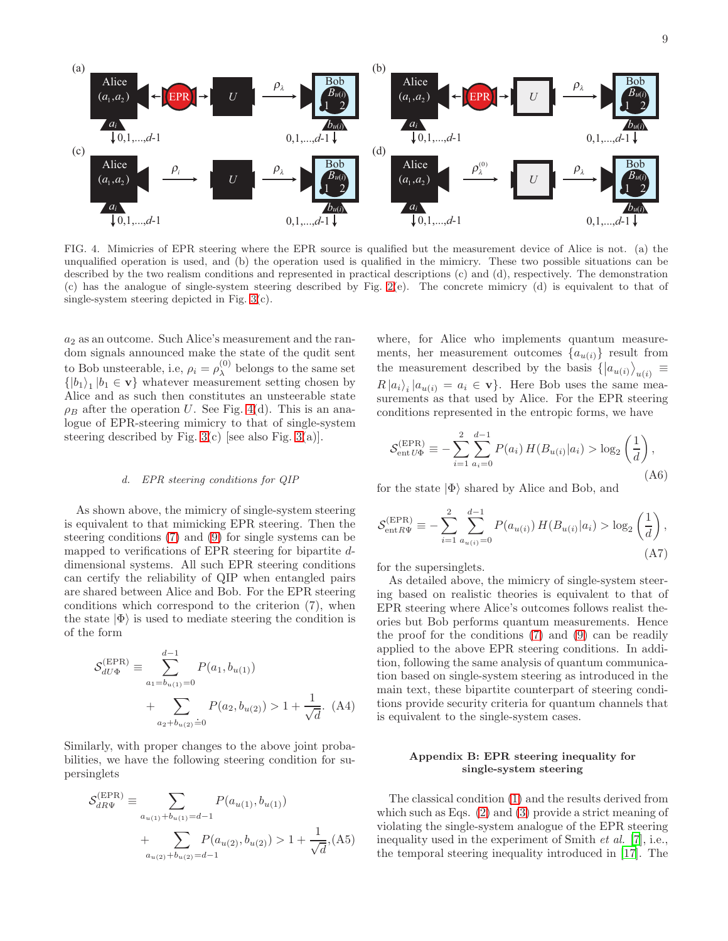

<span id="page-8-0"></span>FIG. 4. Mimicries of EPR steering where the EPR source is qualified but the measurement device of Alice is not. (a) the unqualified operation is used, and (b) the operation used is qualified in the mimicry. These two possible situations can be described by the two realism conditions and represented in practical descriptions (c) and (d), respectively. The demonstration (c) has the analogue of single-system steering described by Fig. [2\(](#page-6-0)e). The concrete mimicry (d) is equivalent to that of single-system steering depicted in Fig. [3\(](#page-7-0)c).

a<sup>2</sup> as an outcome. Such Alice's measurement and the random signals announced make the state of the qudit sent to Bob unsteerable, i.e,  $\rho_i = \rho_\lambda^{(0)}$  $\lambda^{(0)}$  belongs to the same set  $\{|b_1\rangle_1|b_1 \in \mathbf{v}\}\)$  whatever measurement setting chosen by Alice and as such then constitutes an unsteerable state  $\rho_B$  after the operation U. See Fig. [4\(](#page-8-0)d). This is an analogue of EPR-steering mimicry to that of single-system steering described by Fig.  $3(c)$  [see also Fig.  $3(a)$ ].

### d. EPR steering conditions for QIP

As shown above, the mimicry of single-system steering is equivalent to that mimicking EPR steering. Then the steering conditions [\(7\)](#page-2-0) and [\(9\)](#page-2-1) for single systems can be mapped to verifications of EPR steering for bipartite ddimensional systems. All such EPR steering conditions can certify the reliability of QIP when entangled pairs are shared between Alice and Bob. For the EPR steering conditions which correspond to the criterion (7), when the state  $|\Phi\rangle$  is used to mediate steering the condition is of the form

<span id="page-8-1"></span>
$$
S_{dU\Phi}^{(\text{EPR})} \equiv \sum_{a_1=b_{u(1)}=0}^{d-1} P(a_1, b_{u(1)}) + \sum_{a_2+b_{u(2)}=0} P(a_2, b_{u(2)}) > 1 + \frac{1}{\sqrt{d}}. (A4)
$$

Similarly, with proper changes to the above joint probabilities, we have the following steering condition for supersinglets

$$
S_{dR\Psi}^{(\text{EPR})} \equiv \sum_{a_{u(1)} + b_{u(1)} = d - 1} P(a_{u(1)}, b_{u(1)}) + \sum_{a_{u(2)} + b_{u(2)} = d - 1} P(a_{u(2)}, b_{u(2)}) > 1 + \frac{1}{\sqrt{d}}, (A5)
$$

where, for Alice who implements quantum measurements, her measurement outcomes  $\{a_{u(i)}\}$  result from the measurement described by the basis  $\langle |a_{u(i)}\rangle_{u(i)} \equiv$  $R |a_i\rangle_i |a_{u(i)} = a_i \in \mathbf{v}$ . Here Bob uses the same measurements as that used by Alice. For the EPR steering conditions represented in the entropic forms, we have

$$
S_{\text{ent }U\Phi}^{(\text{EPR})} \equiv -\sum_{i=1}^{2} \sum_{a_i=0}^{d-1} P(a_i) H(B_{u(i)} | a_i) > \log_2 \left(\frac{1}{d}\right),\tag{A6}
$$

for the state  $|\Phi\rangle$  shared by Alice and Bob, and

$$
S_{\text{ent}R\Psi}^{(\text{EPR})} \equiv -\sum_{i=1}^{2} \sum_{a_{u(i)}=0}^{d-1} P(a_{u(i)}) H(B_{u(i)}|a_i) > \log_2 \left(\frac{1}{d}\right),\tag{A7}
$$

for the supersinglets.

As detailed above, the mimicry of single-system steering based on realistic theories is equivalent to that of EPR steering where Alice's outcomes follows realist theories but Bob performs quantum measurements. Hence the proof for the conditions [\(7\)](#page-2-0) and [\(9\)](#page-2-1) can be readily applied to the above EPR steering conditions. In addition, following the same analysis of quantum communication based on single-system steering as introduced in the main text, these bipartite counterpart of steering conditions provide security criteria for quantum channels that is equivalent to the single-system cases.

# Appendix B: EPR steering inequality for single-system steering

The classical condition [\(1\)](#page-1-1) and the results derived from which such as Eqs. [\(2\)](#page-1-2) and [\(3\)](#page-2-3) provide a strict meaning of violating the single-system analogue of the EPR steering inequality used in the experiment of Smith et al. [\[7](#page-11-11)], i.e., the temporal steering inequality introduced in [\[17\]](#page-12-1). The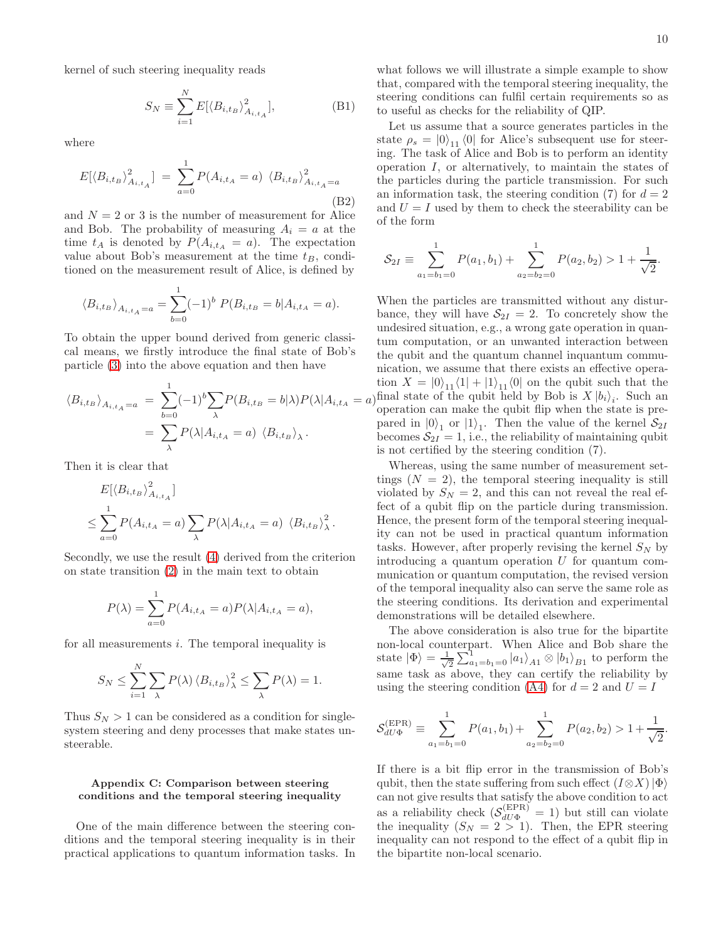kernel of such steering inequality reads

$$
S_N \equiv \sum_{i=1}^N E[\langle B_{i,t_B} \rangle_{A_{i,t_A}}^2], \tag{B1}
$$

where

$$
E[\langle B_{i,t_B} \rangle_{A_{i,t_A}}^2] = \sum_{a=0}^{1} P(A_{i,t_A} = a) \langle B_{i,t_B} \rangle_{A_{i,t_A} = a}^2
$$
\n(B2)

and  $N = 2$  or 3 is the number of measurement for Alice and Bob. The probability of measuring  $A_i = a$  at the time  $t_A$  is denoted by  $P(A_{i,t_A} = a)$ . The expectation value about Bob's measurement at the time  $t_B$ , conditioned on the measurement result of Alice, is defined by

$$
\langle B_{i,t_B} \rangle_{A_{i,t_A} = a} = \sum_{b=0}^{1} (-1)^b P(B_{i,t_B} = b | A_{i,t_A} = a).
$$

To obtain the upper bound derived from generic classical means, we firstly introduce the final state of Bob's particle [\(3\)](#page-2-3) into the above equation and then have

$$
\langle B_{i,t_B} \rangle_{A_{i,t_A} = a} = \sum_{b=0}^{1} (-1)^b \sum_{\lambda} P(B_{i,t_B} = b | \lambda) P(\lambda | A_{i,t_A} = a)
$$

$$
= \sum_{\lambda} P(\lambda | A_{i,t_A} = a) \langle B_{i,t_B} \rangle_{\lambda}.
$$

Then it is clear that

$$
E[\langle B_{i,t_B} \rangle_{A_{i,t_A}}^2]
$$
  
\n
$$
\leq \sum_{a=0}^1 P(A_{i,t_A} = a) \sum_{\lambda} P(\lambda | A_{i,t_A} = a) \langle B_{i,t_B} \rangle_{\lambda}^2.
$$

Secondly, we use the result [\(4\)](#page-2-2) derived from the criterion on state transition [\(2\)](#page-1-2) in the main text to obtain

$$
P(\lambda) = \sum_{a=0}^{1} P(A_{i,t_A} = a) P(\lambda | A_{i,t_A} = a),
$$

for all measurements  $i$ . The temporal inequality is

$$
S_N \leq \sum_{i=1}^N \sum_{\lambda} P(\lambda) \left\langle B_{i,t_B} \right\rangle_{\lambda}^2 \leq \sum_{\lambda} P(\lambda) = 1.
$$

Thus  $S_N > 1$  can be considered as a condition for singlesystem steering and deny processes that make states unsteerable.

### Appendix C: Comparison between steering conditions and the temporal steering inequality

One of the main difference between the steering conditions and the temporal steering inequality is in their practical applications to quantum information tasks. In

what follows we will illustrate a simple example to show that, compared with the temporal steering inequality, the steering conditions can fulfil certain requirements so as to useful as checks for the reliability of QIP.

Let us assume that a source generates particles in the state  $\rho_s = |0\rangle_{11} \langle 0|$  for Alice's subsequent use for steering. The task of Alice and Bob is to perform an identity operation I, or alternatively, to maintain the states of the particles during the particle transmission. For such an information task, the steering condition (7) for  $d = 2$ and  $U = I$  used by them to check the steerability can be of the form

$$
\mathcal{S}_{2I} \equiv \sum_{a_1=b_1=0}^{1} P(a_1, b_1) + \sum_{a_2=b_2=0}^{1} P(a_2, b_2) > 1 + \frac{1}{\sqrt{2}}.
$$

When the particles are transmitted without any disturbance, they will have  $S_{2I} = 2$ . To concretely show the undesired situation, e.g., a wrong gate operation in quantum computation, or an unwanted interaction between the qubit and the quantum channel inquantum communication, we assume that there exists an effective operation  $X = \begin{bmatrix} 0 \\ 1 \end{bmatrix}$   $\begin{bmatrix} 1 \\ 1 \end{bmatrix} + \begin{bmatrix} 1 \\ 1 \end{bmatrix}$   $\begin{bmatrix} 0 \\ 1 \end{bmatrix}$  on the qubit such that the final state of the qubit held by Bob is  $X |b_i\rangle_i$ . Such an operation can make the qubit flip when the state is prepared in  $|0\rangle_1$  or  $|1\rangle_1$ . Then the value of the kernel  $S_{2I}$ becomes  $S_{2I} = 1$ , i.e., the reliability of maintaining qubit is not certified by the steering condition (7).

Whereas, using the same number of measurement settings  $(N = 2)$ , the temporal steering inequality is still violated by  $S_N = 2$ , and this can not reveal the real effect of a qubit flip on the particle during transmission. Hence, the present form of the temporal steering inequality can not be used in practical quantum information tasks. However, after properly revising the kernel  $S_N$  by introducing a quantum operation  $U$  for quantum communication or quantum computation, the revised version of the temporal inequality also can serve the same role as the steering conditions. Its derivation and experimental demonstrations will be detailed elsewhere.

The above consideration is also true for the bipartite non-local counterpart. When Alice and Bob share the state  $|\Phi\rangle = \frac{1}{\sqrt{2}}$  $\frac{1}{2}\sum_{a_1=b_1=0}^{1} |a_1\rangle_{A1} \otimes |b_1\rangle_{B1}$  to perform the same task as above, they can certify the reliability by using the steering condition [\(A4\)](#page-8-1) for  $d = 2$  and  $U = I$ 

$$
\mathcal{S}_{dU\Phi}^{(\text{EPR})} \equiv \sum_{a_1=b_1=0}^{1} P(a_1, b_1) + \sum_{a_2=b_2=0}^{1} P(a_2, b_2) > 1 + \frac{1}{\sqrt{2}}.
$$

If there is a bit flip error in the transmission of Bob's qubit, then the state suffering from such effect  $(I \otimes X)|\Phi\rangle$ can not give results that satisfy the above condition to act as a reliability check  $(S_{dU\Phi}^{(EPR)} = 1)$  but still can violate the inequality  $(S_N = 2 > 1)$ . Then, the EPR steering inequality can not respond to the effect of a qubit flip in the bipartite non-local scenario.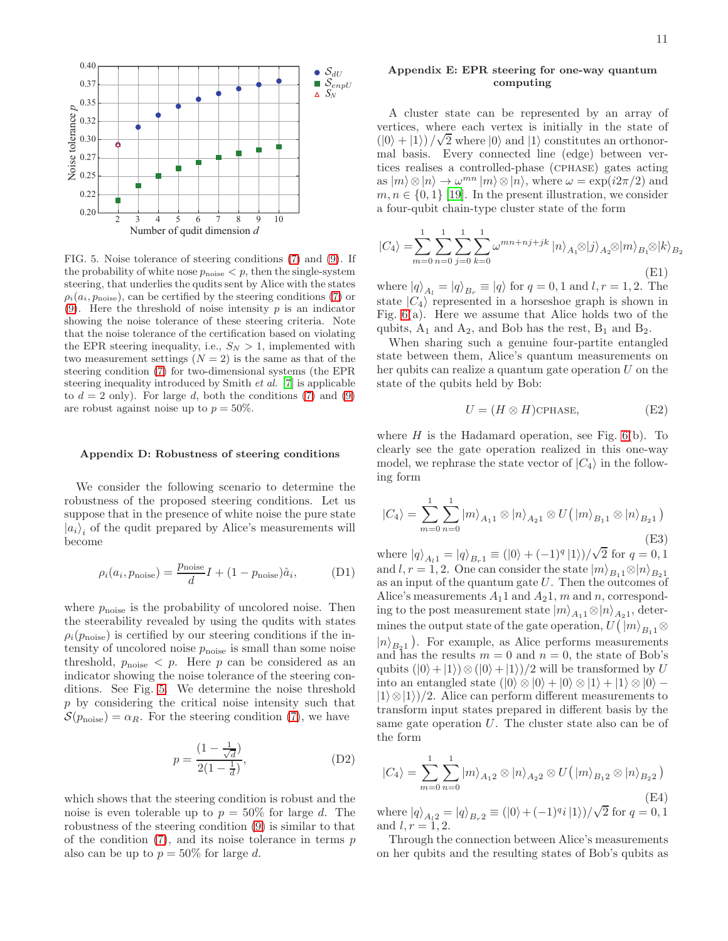

<span id="page-10-0"></span>FIG. 5. Noise tolerance of steering conditions [\(7\)](#page-2-0) and [\(9\)](#page-2-1). If the probability of white nose  $p_{noise} < p$ , then the single-system steering, that underlies the qudits sent by Alice with the states  $\rho_i(a_i, p_{\text{noise}})$ , can be certified by the steering conditions [\(7\)](#page-2-0) or [\(9\)](#page-2-1). Here the threshold of noise intensity  $p$  is an indicator showing the noise tolerance of these steering criteria. Note that the noise tolerance of the certification based on violating the EPR steering inequality, i.e.,  $S_N > 1$ , implemented with two measurement settings  $(N = 2)$  is the same as that of the steering condition [\(7\)](#page-2-0) for two-dimensional systems (the EPR steering inequality introduced by Smith et al. [\[7](#page-11-11)] is applicable to  $d = 2$  only). For large d, both the conditions [\(7\)](#page-2-0) and [\(9\)](#page-2-1) are robust against noise up to  $p = 50\%$ .

### Appendix D: Robustness of steering conditions

We consider the following scenario to determine the robustness of the proposed steering conditions. Let us suppose that in the presence of white noise the pure state  $|a_i\rangle_i$  of the qudit prepared by Alice's measurements will become

$$
\rho_i(a_i, p_{\text{noise}}) = \frac{p_{\text{noise}}}{d}I + (1 - p_{\text{noise}})\hat{a}_i,\tag{D1}
$$

where  $p_{noise}$  is the probability of uncolored noise. Then the steerability revealed by using the qudits with states  $\rho_i(p_{\text{noise}})$  is certified by our steering conditions if the intensity of uncolored noise  $p_{noise}$  is small than some noise threshold,  $p_{noise} < p$ . Here p can be considered as an indicator showing the noise tolerance of the steering conditions. See Fig. [5.](#page-10-0) We determine the noise threshold p by considering the critical noise intensity such that  $S(p_{\text{noise}}) = \alpha_R$ . For the steering condition [\(7\)](#page-2-0), we have

$$
p = \frac{(1 - \frac{1}{\sqrt{d}})}{2(1 - \frac{1}{d})},
$$
 (D2)

which shows that the steering condition is robust and the noise is even tolerable up to  $p = 50\%$  for large d. The robustness of the steering condition [\(9\)](#page-2-1) is similar to that of the condition  $(7)$ , and its noise tolerance in terms p also can be up to  $p = 50\%$  for large d.

### Appendix E: EPR steering for one-way quantum computing

A cluster state can be represented by an array of vertices, where each vertex is initially in the state of  $(|0\rangle + |1\rangle)/\sqrt{2}$  where  $|0\rangle$  and  $|1\rangle$  constitutes an orthonormal basis. Every connected line (edge) between vertices realises a controlled-phase (cphase) gates acting as  $|m\rangle \otimes |n\rangle \rightarrow \omega^{mn} |m\rangle \otimes |n\rangle$ , where  $\omega = \exp(i2\pi/2)$  and  $m, n \in \{0, 1\}$  [\[19\]](#page-12-3). In the present illustration, we consider a four-qubit chain-type cluster state of the form

$$
|C_4\rangle = \sum_{m=0}^{1} \sum_{n=0}^{1} \sum_{j=0}^{1} \sum_{k=0}^{1} \omega^{mn+nj+jk} |n\rangle_{A_1} \otimes |j\rangle_{A_2} \otimes |m\rangle_{B_1} \otimes |k\rangle_{B_2}
$$
(E1)

where  $|q\rangle_{A_l} = |q\rangle_{B_r} \equiv |q\rangle$  for  $q = 0, 1$  and  $l, r = 1, 2$ . The state  $|C_4\rangle$  represented in a horseshoe graph is shown in Fig. [6\(](#page-11-12)a). Here we assume that Alice holds two of the qubits,  $A_1$  and  $A_2$ , and Bob has the rest,  $B_1$  and  $B_2$ .

When sharing such a genuine four-partite entangled state between them, Alice's quantum measurements on her qubits can realize a quantum gate operation  $U$  on the state of the qubits held by Bob:

$$
U = (H \otimes H) \text{cphase},\tag{E2}
$$

where  $H$  is the Hadamard operation, see Fig.  $6(b)$ . To clearly see the gate operation realized in this one-way model, we rephrase the state vector of  $|C_4\rangle$  in the following form

$$
|C_4\rangle = \sum_{m=0}^{1} \sum_{n=0}^{1} |m\rangle_{A_{11}} \otimes |n\rangle_{A_{21}} \otimes U(|m\rangle_{B_{11}} \otimes |n\rangle_{B_{21}})
$$
(E3)

where  $|q\rangle_{A_1} = |q\rangle_{B_1} \equiv (|0\rangle + (-1)^q |1\rangle)/\sqrt{2}$  for  $q = 0, 1$ and  $l, r = 1, 2$ . One can consider the state  $|m\rangle_{B_1} \otimes |n\rangle_{B_2}$ as an input of the quantum gate  $U$ . Then the outcomes of Alice's measurements  $A_11$  and  $A_21$ , m and n, corresponding to the post measurement state  $|m\rangle_{A_1} \otimes |n\rangle_{A_2}$ , determines the output state of the gate operation,  $U(|m\rangle_{B_1} \otimes$  $|n\rangle_{B_2}$ ). For example, as Alice performs measurements and has the results  $m = 0$  and  $n = 0$ , the state of Bob's qubits  $(|0\rangle+|1\rangle)\otimes(|0\rangle+|1\rangle)/2$  will be transformed by U into an entangled state  $(|0\rangle \otimes |0\rangle + |0\rangle \otimes |1\rangle + |1\rangle \otimes |0\rangle |1\rangle \otimes |1\rangle/2$ . Alice can perform different measurements to transform input states prepared in different basis by the same gate operation  $U$ . The cluster state also can be of the form

$$
|C_4\rangle = \sum_{m=0}^{1} \sum_{n=0}^{1} |m\rangle_{A_{12}} \otimes |n\rangle_{A_{22}} \otimes U(|m\rangle_{B_{12}} \otimes |n\rangle_{B_{22}})
$$
(E4)

where  $|q\rangle_{A_12} = |q\rangle_{B_r2} \equiv (|0\rangle + (-1)^q i |1\rangle)/\sqrt{2}$  for  $q = 0, 1$ and  $l, r = 1, 2$ .

Through the connection between Alice's measurements on her qubits and the resulting states of Bob's qubits as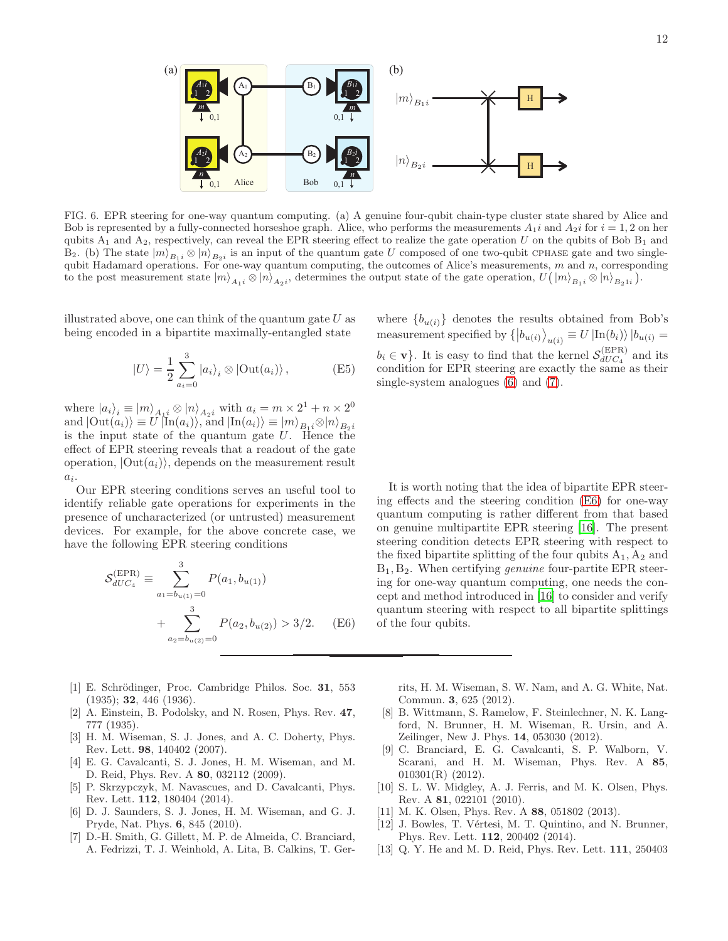

<span id="page-11-12"></span>FIG. 6. EPR steering for one-way quantum computing. (a) A genuine four-qubit chain-type cluster state shared by Alice and Bob is represented by a fully-connected horseshoe graph. Alice, who performs the measurements  $A_1i$  and  $A_2i$  for  $i = 1, 2$  on her qubits  $A_1$  and  $A_2$ , respectively, can reveal the EPR steering effect to realize the gate operation U on the qubits of Bob  $B_1$  and B<sub>2</sub>. (b) The state  $|m\rangle_{B_1i} \otimes |n\rangle_{B_2i}$  is an input of the quantum gate U composed of one two-qubit CPHASE gate and two singlequbit Hadamard operations. For one-way quantum computing, the outcomes of Alice's measurements,  $m$  and  $n$ , corresponding to the post measurement state  $|m\rangle_{A_1} \otimes |n\rangle_{A_2}$ , determines the output state of the gate operation,  $U(|m\rangle_{B_1} \otimes |n\rangle_{B_2}$ .

illustrated above, one can think of the quantum gate  $U$  as being encoded in a bipartite maximally-entangled state

$$
|U\rangle = \frac{1}{2} \sum_{a_i=0}^{3} |a_i\rangle_i \otimes |\text{Out}(a_i)\rangle, \qquad (E5)
$$

where  $|a_i\rangle_i \equiv |m\rangle_{A_1i} \otimes |n\rangle_{A_2i}$  with  $a_i = m \times 2^1 + n \times 2^0$ and  $|\text{Out}(a_i)\rangle \equiv U \ket{\text{In}(a_i)}$ , and  $|\text{In}(a_i)\rangle \equiv |m\rangle_{B_1i} \otimes |n\rangle_{B_2i}$ is the input state of the quantum gate  $U$ . Hence the effect of EPR steering reveals that a readout of the gate operation,  $|\text{Out}(a_i)\rangle$ , depends on the measurement result  $a_i$ .

Our EPR steering conditions serves an useful tool to identify reliable gate operations for experiments in the presence of uncharacterized (or untrusted) measurement devices. For example, for the above concrete case, we have the following EPR steering conditions

<span id="page-11-13"></span>
$$
\mathcal{S}_{dUC_4}^{(\text{EPR})} \equiv \sum_{a_1=b_{u(1)}=0}^{3} P(a_1, b_{u(1)}) + \sum_{a_2=b_{u(2)}=0}^{3} P(a_2, b_{u(2)}) > 3/2.
$$
 (E6)

- <span id="page-11-0"></span>[1] E. Schrödinger, Proc. Cambridge Philos. Soc. 31, 553 (1935); 32, 446 (1936).
- <span id="page-11-1"></span>[2] A. Einstein, B. Podolsky, and N. Rosen, Phys. Rev. 47, 777 (1935).
- <span id="page-11-2"></span>[3] H. M. Wiseman, S. J. Jones, and A. C. Doherty, Phys. Rev. Lett. 98, 140402 (2007).
- <span id="page-11-3"></span>[4] E. G. Cavalcanti, S. J. Jones, H. M. Wiseman, and M. D. Reid, Phys. Rev. A 80, 032112 (2009).
- <span id="page-11-4"></span>[5] P. Skrzypczyk, M. Navascues, and D. Cavalcanti, Phys. Rev. Lett. 112, 180404 (2014).
- <span id="page-11-5"></span>[6] D. J. Saunders, S. J. Jones, H. M. Wiseman, and G. J. Pryde, Nat. Phys. 6, 845 (2010).
- <span id="page-11-11"></span>[7] D.-H. Smith, G. Gillett, M. P. de Almeida, C. Branciard, A. Fedrizzi, T. J. Weinhold, A. Lita, B. Calkins, T. Ger-

where  ${b_{u(i)}}$  denotes the results obtained from Bob's measurement specified by  $\langle b_{u(i)} \rangle_{u(i)} \equiv U \ket{\text{In}(b_i)} | b_{u(i)} =$  $b_i \in \mathbf{v}$ . It is easy to find that the kernel  $\mathcal{S}_{dUC_4}^{(\text{EPR})}$  $dUC_4$  and its condition for EPR steering are exactly the same as their single-system analogues [\(6\)](#page-2-6) and [\(7\)](#page-2-0).

It is worth noting that the idea of bipartite EPR steering effects and the steering condition [\(E6\)](#page-11-13) for one-way quantum computing is rather different from that based on genuine multipartite EPR steering [\[16\]](#page-12-0). The present steering condition detects EPR steering with respect to the fixed bipartite splitting of the four qubits  $A_1, A_2$  and  $B_1, B_2$ . When certifying *genuine* four-partite EPR steering for one-way quantum computing, one needs the concept and method introduced in [\[16\]](#page-12-0) to consider and verify quantum steering with respect to all bipartite splittings of the four qubits.

rits, H. M. Wiseman, S. W. Nam, and A. G. White, Nat. Commun. 3, 625 (2012).

- <span id="page-11-6"></span>[8] B. Wittmann, S. Ramelow, F. Steinlechner, N. K. Langford, N. Brunner, H. M. Wiseman, R. Ursin, and A. Zeilinger, New J. Phys. 14, 053030 (2012).
- <span id="page-11-7"></span>[9] C. Branciard, E. G. Cavalcanti, S. P. Walborn, V. Scarani, and H. M. Wiseman, Phys. Rev. A 85, 010301(R) (2012).
- <span id="page-11-8"></span>[10] S. L. W. Midgley, A. J. Ferris, and M. K. Olsen, Phys. Rev. A 81, 022101 (2010).
- [11] M. K. Olsen, Phys. Rev. A 88, 051802 (2013).
- <span id="page-11-9"></span>[12] J. Bowles, T. Vértesi, M. T. Quintino, and N. Brunner, Phys. Rev. Lett. 112, 200402 (2014).
- <span id="page-11-10"></span>[13] Q. Y. He and M. D. Reid, Phys. Rev. Lett. 111, 250403